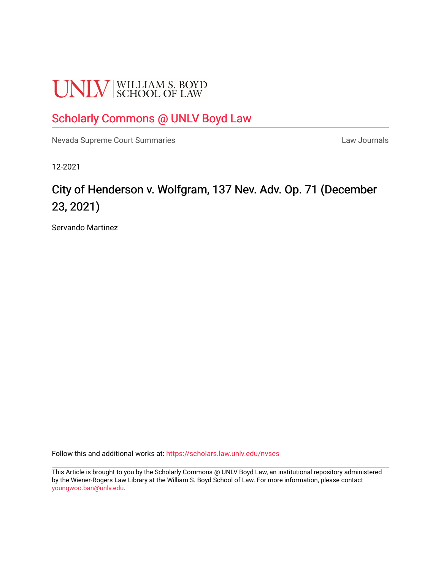# **UNLV** SCHOOL OF LAW

### [Scholarly Commons @ UNLV Boyd Law](https://scholars.law.unlv.edu/)

[Nevada Supreme Court Summaries](https://scholars.law.unlv.edu/nvscs) **Law Journals** Law Journals

12-2021

## City of Henderson v. Wolfgram, 137 Nev. Adv. Op. 71 (December 23, 2021)

Servando Martinez

Follow this and additional works at: [https://scholars.law.unlv.edu/nvscs](https://scholars.law.unlv.edu/nvscs?utm_source=scholars.law.unlv.edu%2Fnvscs%2F1466&utm_medium=PDF&utm_campaign=PDFCoverPages)

This Article is brought to you by the Scholarly Commons @ UNLV Boyd Law, an institutional repository administered by the Wiener-Rogers Law Library at the William S. Boyd School of Law. For more information, please contact [youngwoo.ban@unlv.edu.](mailto:youngwoo.ban@unlv.edu)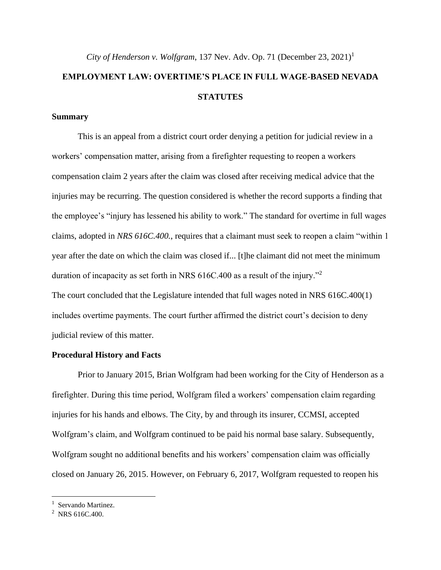## *City of Henderson v. Wolfgram*, 137 Nev. Adv. Op. 71 (December 23, 2021)<sup>1</sup> **EMPLOYMENT LAW: OVERTIME'S PLACE IN FULL WAGE-BASED NEVADA STATUTES**

#### **Summary**

This is an appeal from a district court order denying a petition for judicial review in a workers' compensation matter, arising from a firefighter requesting to reopen a workers compensation claim 2 years after the claim was closed after receiving medical advice that the injuries may be recurring. The question considered is whether the record supports a finding that the employee's "injury has lessened his ability to work." The standard for overtime in full wages claims, adopted in *NRS 616C.400.*, requires that a claimant must seek to reopen a claim "within 1 year after the date on which the claim was closed if... [t]he claimant did not meet the minimum duration of incapacity as set forth in NRS 616C.400 as a result of the injury."<sup>2</sup> The court concluded that the Legislature intended that full wages noted in NRS 616C.400(1) includes overtime payments. The court further affirmed the district court's decision to deny judicial review of this matter.

#### **Procedural History and Facts**

Prior to January 2015, Brian Wolfgram had been working for the City of Henderson as a firefighter. During this time period, Wolfgram filed a workers' compensation claim regarding injuries for his hands and elbows. The City, by and through its insurer, CCMSI, accepted Wolfgram's claim, and Wolfgram continued to be paid his normal base salary. Subsequently, Wolfgram sought no additional benefits and his workers' compensation claim was officially closed on January 26, 2015. However, on February 6, 2017, Wolfgram requested to reopen his

<sup>&</sup>lt;sup>1</sup> Servando Martinez.

 $2$  NRS 616C.400.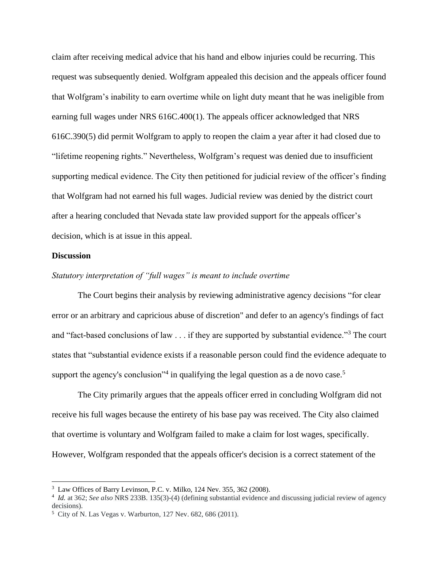claim after receiving medical advice that his hand and elbow injuries could be recurring. This request was subsequently denied. Wolfgram appealed this decision and the appeals officer found that Wolfgram's inability to earn overtime while on light duty meant that he was ineligible from earning full wages under NRS 616C.400(1). The appeals officer acknowledged that NRS 616C.390(5) did permit Wolfgram to apply to reopen the claim a year after it had closed due to "lifetime reopening rights." Nevertheless, Wolfgram's request was denied due to insufficient supporting medical evidence. The City then petitioned for judicial review of the officer's finding that Wolfgram had not earned his full wages. Judicial review was denied by the district court after a hearing concluded that Nevada state law provided support for the appeals officer's decision, which is at issue in this appeal.

#### **Discussion**

#### *Statutory interpretation of "full wages" is meant to include overtime*

The Court begins their analysis by reviewing administrative agency decisions "for clear error or an arbitrary and capricious abuse of discretion" and defer to an agency's findings of fact and "fact-based conclusions of law . . . if they are supported by substantial evidence."<sup>3</sup> The court states that "substantial evidence exists if a reasonable person could find the evidence adequate to support the agency's conclusion<sup>34</sup> in qualifying the legal question as a de novo case.<sup>5</sup>

The City primarily argues that the appeals officer erred in concluding Wolfgram did not receive his full wages because the entirety of his base pay was received. The City also claimed that overtime is voluntary and Wolfgram failed to make a claim for lost wages, specifically. However, Wolfgram responded that the appeals officer's decision is a correct statement of the

<sup>&</sup>lt;sup>3</sup> Law Offices of Barry Levinson, P.C. v. Milko, 124 Nev. 355, 362 (2008).

<sup>4</sup> *Id.* at 362; *See also* NRS 233B. 135(3)-(4) (defining substantial evidence and discussing judicial review of agency decisions).

<sup>5</sup> City of N. Las Vegas v. Warburton*,* 127 Nev. 682, 686 (2011).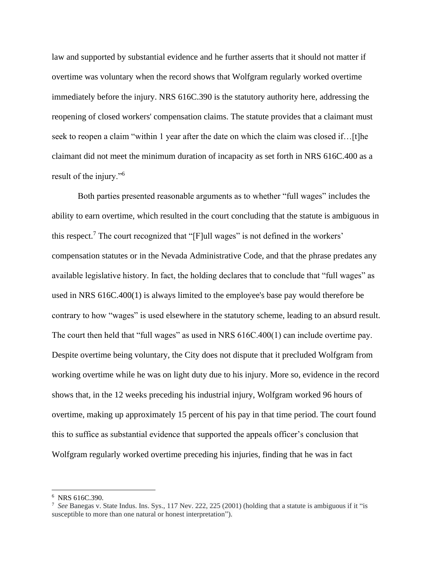law and supported by substantial evidence and he further asserts that it should not matter if overtime was voluntary when the record shows that Wolfgram regularly worked overtime immediately before the injury. NRS 616C.390 is the statutory authority here, addressing the reopening of closed workers' compensation claims. The statute provides that a claimant must seek to reopen a claim "within 1 year after the date on which the claim was closed if...[t]he claimant did not meet the minimum duration of incapacity as set forth in NRS 616C.400 as a result of the injury."<sup>6</sup>

Both parties presented reasonable arguments as to whether "full wages" includes the ability to earn overtime, which resulted in the court concluding that the statute is ambiguous in this respect.<sup>7</sup> The court recognized that "[F]ull wages" is not defined in the workers' compensation statutes or in the Nevada Administrative Code, and that the phrase predates any available legislative history. In fact, the holding declares that to conclude that "full wages" as used in NRS 616C.400(1) is always limited to the employee's base pay would therefore be contrary to how "wages" is used elsewhere in the statutory scheme, leading to an absurd result. The court then held that "full wages" as used in NRS 616C.400(1) can include overtime pay. Despite overtime being voluntary, the City does not dispute that it precluded Wolfgram from working overtime while he was on light duty due to his injury. More so, evidence in the record shows that, in the 12 weeks preceding his industrial injury, Wolfgram worked 96 hours of overtime, making up approximately 15 percent of his pay in that time period. The court found this to suffice as substantial evidence that supported the appeals officer's conclusion that Wolfgram regularly worked overtime preceding his injuries, finding that he was in fact

<sup>6</sup> NRS 616C.390.

<sup>7</sup> *See* Banegas v. State Indus. Ins. Sys., 117 Nev. 222, 225 (2001) (holding that a statute is ambiguous if it "is susceptible to more than one natural or honest interpretation").